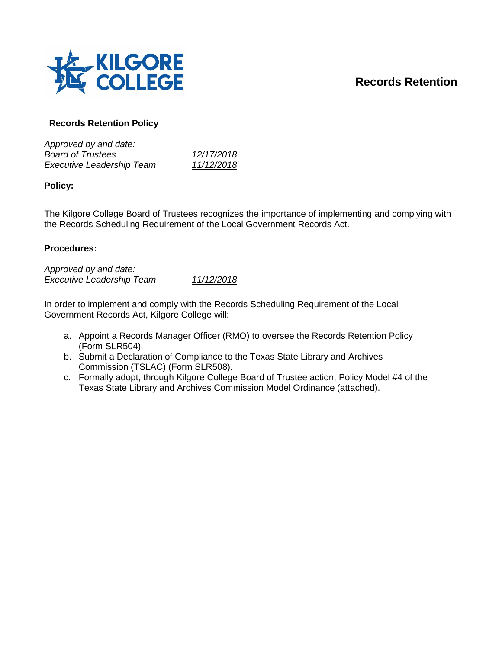# **Records Retention**



# **Records Retention Policy**

| 12/17/2018 |
|------------|
| 11/12/2018 |
|            |

**Policy:**

The Kilgore College Board of Trustees recognizes the importance of implementing and complying with the Records Scheduling Requirement of the Local Government Records Act.

### **Procedures:**

*Approved by and date: Executive Leadership Team 11/12/2018*

In order to implement and comply with the Records Scheduling Requirement of the Local Government Records Act, Kilgore College will:

- a. Appoint a Records Manager Officer (RMO) to oversee the Records Retention Policy (Form SLR504).
- b. Submit a Declaration of Compliance to the Texas State Library and Archives Commission (TSLAC) (Form SLR508).
- c. Formally adopt, through Kilgore College Board of Trustee action, Policy Model #4 of the Texas State Library and Archives Commission Model Ordinance (attached).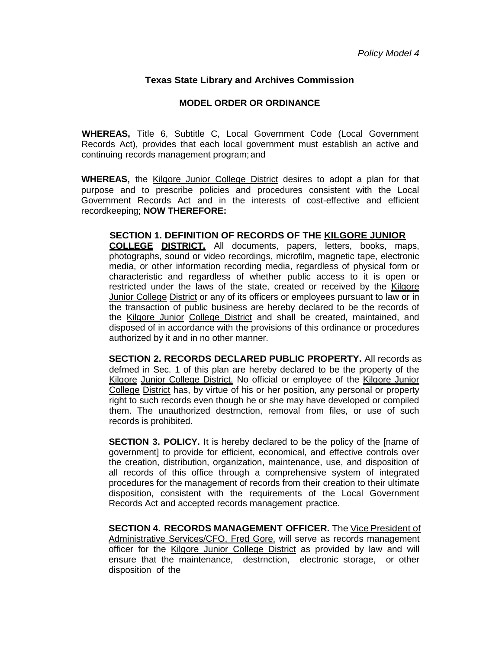## **Texas State Library and Archives Commission**

## **MODEL ORDER OR ORDINANCE**

**WHEREAS,** Title 6, Subtitle C, Local Government Code (Local Government Records Act), provides that each local government must establish an active and continuing records management program; and

**WHEREAS,** the Kilgore Junior College District desires to adopt a plan for that purpose and to prescribe policies and procedures consistent with the Local Government Records Act and in the interests of cost-effective and efficient recordkeeping; **NOW THEREFORE:**

**SECTION 1. DEFINITION OF RECORDS OF THE KILGORE JUNIOR COLLEGE DISTRICT.** All documents, papers, letters, books, maps, photographs, sound or video recordings, microfilm, magnetic tape, electronic media, or other information recording media, regardless of physical form or characteristic and regardless of whether public access to it is open or restricted under the laws of the state, created or received by the Kilgore Junior College District or any of its officers or employees pursuant to law or in the transaction of public business are hereby declared to be the records of the Kilgore Junior College District and shall be created, maintained, and disposed of in accordance with the provisions of this ordinance or procedures authorized by it and in no other manner.

**SECTION 2. RECORDS DECLARED PUBLIC PROPERTY.** All records as defmed in Sec. 1 of this plan are hereby declared to be the property of the Kilgore Junior College District. No official or employee of the Kilgore Junior College District has, by virtue of his or her position, any personal or property right to such records even though he or she may have developed or compiled them. The unauthorized destrnction, removal from files, or use of such records is prohibited.

**SECTION 3. POLICY.** It is hereby declared to be the policy of the [name of government] to provide for efficient, economical, and effective controls over the creation, distribution, organization, maintenance, use, and disposition of all records of this office through a comprehensive system of integrated procedures for the management of records from their creation to their ultimate disposition, consistent with the requirements of the Local Government Records Act and accepted records management practice.

**SECTION 4. RECORDS MANAGEMENT OFFICER.** The Vice President of Administrative Services/CFO, Fred Gore, will serve as records management officer for the Kilgore Junior College District as provided by law and will ensure that the maintenance, destrnction, electronic storage, or other disposition of the